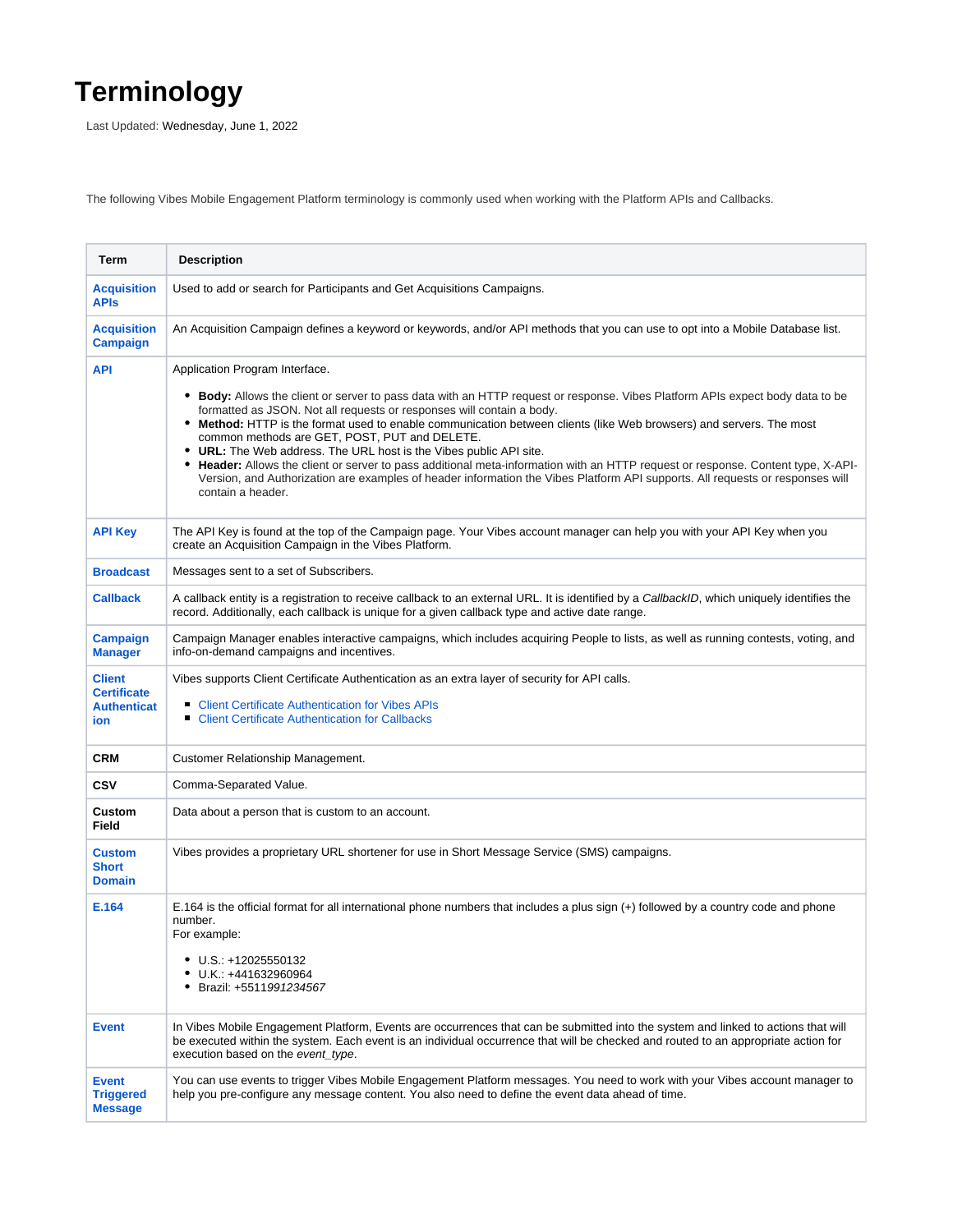## **Terminology**

Last Updated: Wednesday, June 1, 2022

The following Vibes Mobile Engagement Platform terminology is commonly used when working with the Platform APIs and Callbacks.

| Term                                                             | <b>Description</b>                                                                                                                                                                                                                                                                                                                                                                                                                                                                                                                                                                                                                                                                                                                                                                  |
|------------------------------------------------------------------|-------------------------------------------------------------------------------------------------------------------------------------------------------------------------------------------------------------------------------------------------------------------------------------------------------------------------------------------------------------------------------------------------------------------------------------------------------------------------------------------------------------------------------------------------------------------------------------------------------------------------------------------------------------------------------------------------------------------------------------------------------------------------------------|
| <b>Acquisition</b><br><b>APIS</b>                                | Used to add or search for Participants and Get Acquisitions Campaigns.                                                                                                                                                                                                                                                                                                                                                                                                                                                                                                                                                                                                                                                                                                              |
| <b>Acquisition</b><br><b>Campaign</b>                            | An Acquisition Campaign defines a keyword or keywords, and/or API methods that you can use to opt into a Mobile Database list.                                                                                                                                                                                                                                                                                                                                                                                                                                                                                                                                                                                                                                                      |
| <b>API</b>                                                       | Application Program Interface.<br>• Body: Allows the client or server to pass data with an HTTP request or response. Vibes Platform APIs expect body data to be<br>formatted as JSON. Not all requests or responses will contain a body.<br>• Method: HTTP is the format used to enable communication between clients (like Web browsers) and servers. The most<br>common methods are GET, POST, PUT and DELETE.<br>• URL: The Web address. The URL host is the Vibes public API site.<br>Header: Allows the client or server to pass additional meta-information with an HTTP request or response. Content type, X-API-<br>٠<br>Version, and Authorization are examples of header information the Vibes Platform API supports. All requests or responses will<br>contain a header. |
| <b>API Key</b>                                                   | The API Key is found at the top of the Campaign page. Your Vibes account manager can help you with your API Key when you<br>create an Acquisition Campaign in the Vibes Platform.                                                                                                                                                                                                                                                                                                                                                                                                                                                                                                                                                                                                   |
| <b>Broadcast</b>                                                 | Messages sent to a set of Subscribers.                                                                                                                                                                                                                                                                                                                                                                                                                                                                                                                                                                                                                                                                                                                                              |
| <b>Callback</b>                                                  | A callback entity is a registration to receive callback to an external URL. It is identified by a CallbackID, which uniquely identifies the<br>record. Additionally, each callback is unique for a given callback type and active date range.                                                                                                                                                                                                                                                                                                                                                                                                                                                                                                                                       |
| <b>Campaign</b><br><b>Manager</b>                                | Campaign Manager enables interactive campaigns, which includes acquiring People to lists, as well as running contests, voting, and<br>info-on-demand campaigns and incentives.                                                                                                                                                                                                                                                                                                                                                                                                                                                                                                                                                                                                      |
| <b>Client</b><br><b>Certificate</b><br><b>Authenticat</b><br>ion | Vibes supports Client Certificate Authentication as an extra layer of security for API calls.<br>• Client Certificate Authentication for Vibes APIs<br><b>Client Certificate Authentication for Callbacks</b><br>п                                                                                                                                                                                                                                                                                                                                                                                                                                                                                                                                                                  |
| <b>CRM</b>                                                       | Customer Relationship Management.                                                                                                                                                                                                                                                                                                                                                                                                                                                                                                                                                                                                                                                                                                                                                   |
| <b>CSV</b>                                                       | Comma-Separated Value.                                                                                                                                                                                                                                                                                                                                                                                                                                                                                                                                                                                                                                                                                                                                                              |
| Custom<br><b>Field</b>                                           | Data about a person that is custom to an account.                                                                                                                                                                                                                                                                                                                                                                                                                                                                                                                                                                                                                                                                                                                                   |
| <b>Custom</b><br><b>Short</b><br><b>Domain</b>                   | Vibes provides a proprietary URL shortener for use in Short Message Service (SMS) campaigns.                                                                                                                                                                                                                                                                                                                                                                                                                                                                                                                                                                                                                                                                                        |
| E.164                                                            | E.164 is the official format for all international phone numbers that includes a plus sign (+) followed by a country code and phone<br>number.<br>For example:<br>$\bullet$ U.S.: +12025550132<br>U.K.: +441632960964<br>Brazil: +5511991234567                                                                                                                                                                                                                                                                                                                                                                                                                                                                                                                                     |
| <b>Event</b>                                                     | In Vibes Mobile Engagement Platform, Events are occurrences that can be submitted into the system and linked to actions that will<br>be executed within the system. Each event is an individual occurrence that will be checked and routed to an appropriate action for<br>execution based on the event type.                                                                                                                                                                                                                                                                                                                                                                                                                                                                       |
| <b>Event</b><br><b>Triggered</b><br><b>Message</b>               | You can use events to trigger Vibes Mobile Engagement Platform messages. You need to work with your Vibes account manager to<br>help you pre-configure any message content. You also need to define the event data ahead of time.                                                                                                                                                                                                                                                                                                                                                                                                                                                                                                                                                   |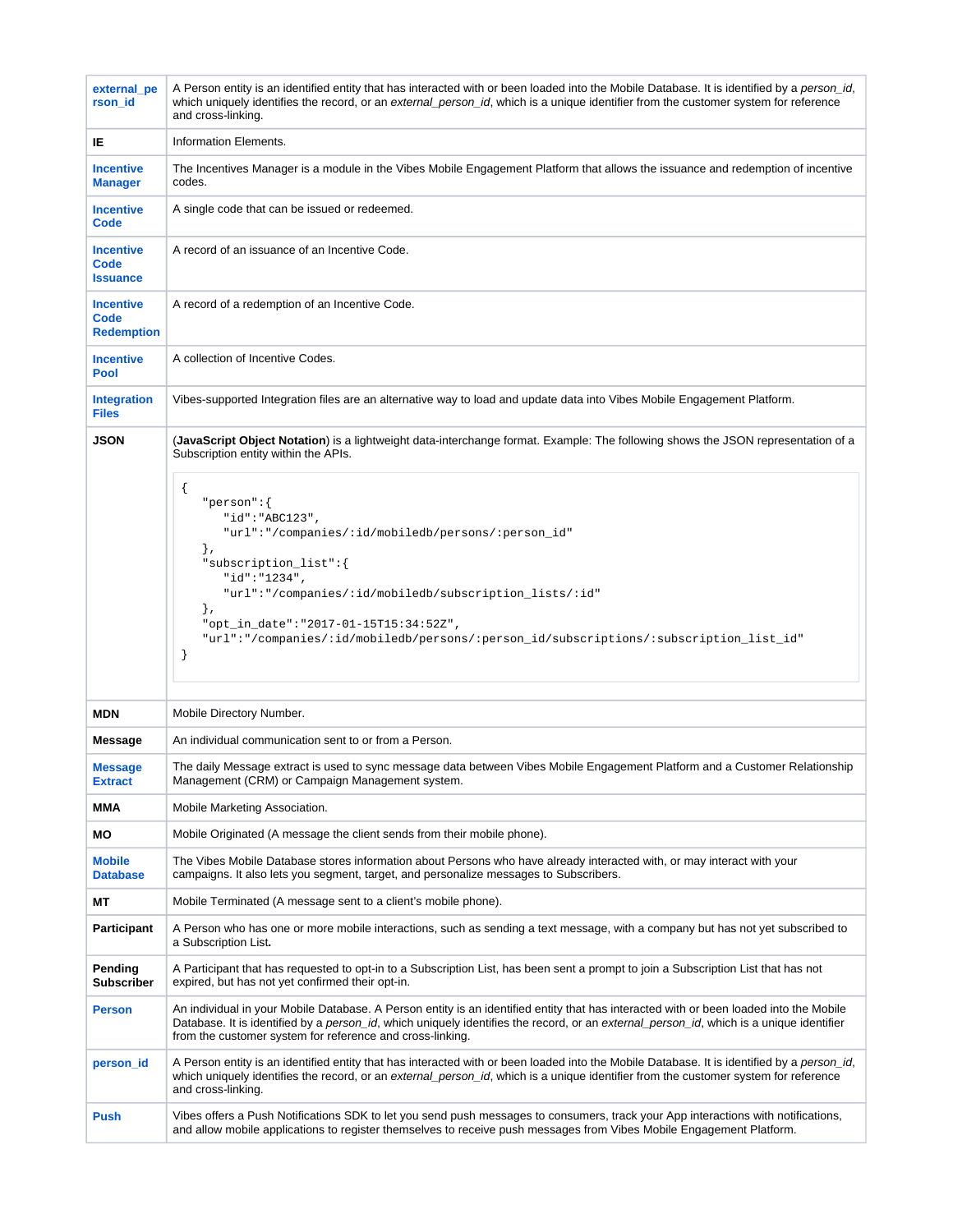| external pe<br>rson_id                        | A Person entity is an identified entity that has interacted with or been loaded into the Mobile Database. It is identified by a person id,<br>which uniquely identifies the record, or an external person id, which is a unique identifier from the customer system for reference<br>and cross-linking.                                                  |
|-----------------------------------------------|----------------------------------------------------------------------------------------------------------------------------------------------------------------------------------------------------------------------------------------------------------------------------------------------------------------------------------------------------------|
| IE.                                           | Information Elements.                                                                                                                                                                                                                                                                                                                                    |
| <b>Incentive</b><br><b>Manager</b>            | The Incentives Manager is a module in the Vibes Mobile Engagement Platform that allows the issuance and redemption of incentive<br>codes.                                                                                                                                                                                                                |
| <b>Incentive</b><br>Code                      | A single code that can be issued or redeemed.                                                                                                                                                                                                                                                                                                            |
| <b>Incentive</b><br>Code<br><b>Issuance</b>   | A record of an issuance of an Incentive Code.                                                                                                                                                                                                                                                                                                            |
| <b>Incentive</b><br>Code<br><b>Redemption</b> | A record of a redemption of an Incentive Code.                                                                                                                                                                                                                                                                                                           |
| <b>Incentive</b><br>Pool                      | A collection of Incentive Codes.                                                                                                                                                                                                                                                                                                                         |
| <b>Integration</b><br><b>Files</b>            | Vibes-supported Integration files are an alternative way to load and update data into Vibes Mobile Engagement Platform.                                                                                                                                                                                                                                  |
| <b>JSON</b>                                   | (JavaScript Object Notation) is a lightweight data-interchange format. Example: The following shows the JSON representation of a<br>Subscription entity within the APIs.                                                                                                                                                                                 |
|                                               | ₹<br>" $person":$<br>"id":"ABC123",<br>"url":"/companies/:id/mobiledb/persons/:person_id"<br>$\}$ ,<br>"subscription_list":{<br>"id":"1234",<br>"url":"/companies/:id/mobiledb/subscription_lists/:id"<br>$\}$ ,<br>"opt_in_date":"2017-01-15T15:34:52Z",<br>"url":"/companies/:id/mobiledb/persons/:person_id/subscriptions/:subscription_list_id"<br>J |
| MDN                                           | Mobile Directory Number.                                                                                                                                                                                                                                                                                                                                 |
| Message                                       | An individual communication sent to or from a Person.                                                                                                                                                                                                                                                                                                    |
| <b>Message</b><br><b>Extract</b>              | The daily Message extract is used to sync message data between Vibes Mobile Engagement Platform and a Customer Relationship<br>Management (CRM) or Campaign Management system.                                                                                                                                                                           |
| MMA                                           | Mobile Marketing Association.                                                                                                                                                                                                                                                                                                                            |
| МO                                            | Mobile Originated (A message the client sends from their mobile phone).                                                                                                                                                                                                                                                                                  |
| <b>Mobile</b><br><b>Database</b>              | The Vibes Mobile Database stores information about Persons who have already interacted with, or may interact with your<br>campaigns. It also lets you segment, target, and personalize messages to Subscribers.                                                                                                                                          |
| МT                                            | Mobile Terminated (A message sent to a client's mobile phone).                                                                                                                                                                                                                                                                                           |
| <b>Participant</b>                            | A Person who has one or more mobile interactions, such as sending a text message, with a company but has not yet subscribed to<br>a Subscription List.                                                                                                                                                                                                   |
| Pending<br><b>Subscriber</b>                  | A Participant that has requested to opt-in to a Subscription List, has been sent a prompt to join a Subscription List that has not<br>expired, but has not yet confirmed their opt-in.                                                                                                                                                                   |
| <b>Person</b>                                 | An individual in your Mobile Database. A Person entity is an identified entity that has interacted with or been loaded into the Mobile<br>Database. It is identified by a person_id, which uniquely identifies the record, or an external_person_id, which is a unique identifier<br>from the customer system for reference and cross-linking.           |
| person_id                                     | A Person entity is an identified entity that has interacted with or been loaded into the Mobile Database. It is identified by a <i>person_id</i> ,<br>which uniquely identifies the record, or an external person id, which is a unique identifier from the customer system for reference<br>and cross-linking.                                          |
| <b>Push</b>                                   | Vibes offers a Push Notifications SDK to let you send push messages to consumers, track your App interactions with notifications,<br>and allow mobile applications to register themselves to receive push messages from Vibes Mobile Engagement Platform.                                                                                                |